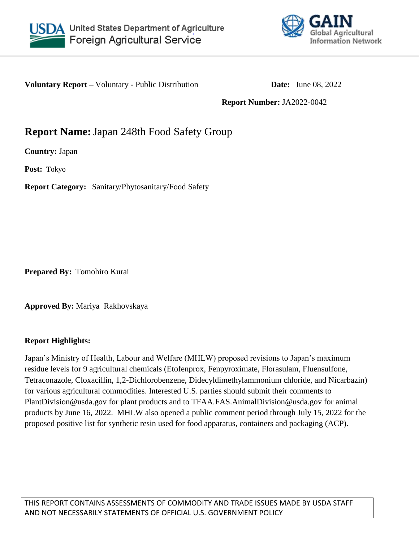



**Voluntary Report –** Voluntary - Public Distribution **Date:** June 08, 2022

**Report Number:** JA2022-0042

# **Report Name:**Japan 248th Food Safety Group

**Country:** Japan

**Post:** Tokyo

**Report Category:** Sanitary/Phytosanitary/Food Safety

**Prepared By:** Tomohiro Kurai

**Approved By:** Mariya Rakhovskaya

## **Report Highlights:**

Japan's Ministry of Health, Labour and Welfare (MHLW) proposed revisions to Japan's maximum residue levels for 9 agricultural chemicals (Etofenprox, Fenpyroximate, Florasulam, Fluensulfone, Tetraconazole, Cloxacillin, 1,2-Dichlorobenzene, Didecyldimethylammonium chloride, and Nicarbazin) for various agricultural commodities. Interested U.S. parties should submit their comments to PlantDivision@usda.gov for plant products and to TFAA.FAS.AnimalDivision@usda.gov for animal products by June 16, 2022. MHLW also opened a public comment period through July 15, 2022 for the proposed positive list for synthetic resin used for food apparatus, containers and packaging (ACP).